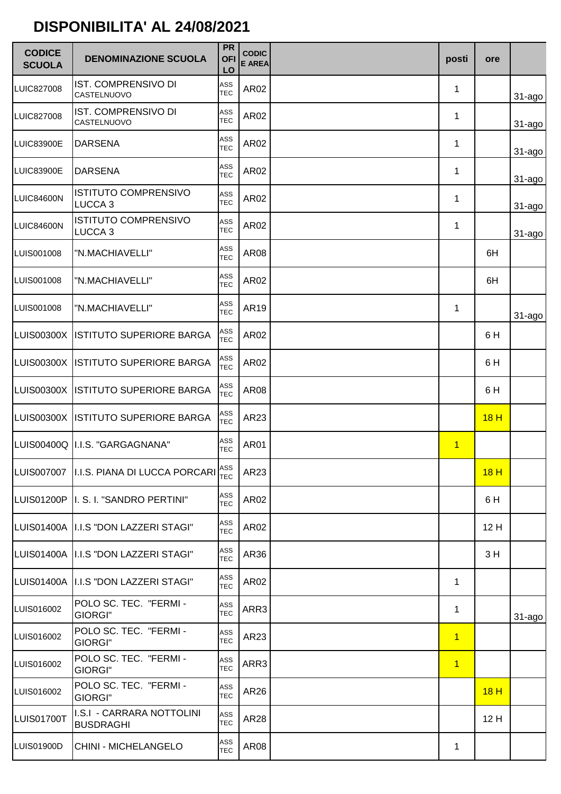## DISPONIBILITA' AL 24/08/2021

| <b>CODICE</b><br><b>SCUOLA</b> | <b>DENOMINAZIONE SCUOLA</b>                       | <b>PR</b><br><b>OFI</b><br>LO | <b>CODIC</b><br><b>E AREA</b> | posti          | <b>ore</b> |             |
|--------------------------------|---------------------------------------------------|-------------------------------|-------------------------------|----------------|------------|-------------|
| LUIC827008                     | IST. COMPRENSIVO DI<br>CASTELNUOVO                | ASS<br><b>TEC</b>             | AR02                          | 1              |            | $31 - a$ go |
| <b>LUIC827008</b>              | IST. COMPRENSIVO DI<br>CASTELNUOVO                | ASS<br><b>TEC</b>             | AR02                          | 1              |            | $31 - a$ go |
| LUIC83900E                     | <b>DARSENA</b>                                    | ASS<br><b>TEC</b>             | AR02                          | 1              |            | $31 - a$ go |
| LUIC83900E                     | <b>DARSENA</b>                                    | ASS<br><b>TEC</b>             | AR02                          | 1              |            | $31 - a$ go |
| LUIC84600N                     | <b>ISTITUTO COMPRENSIVO</b><br>LUCCA <sub>3</sub> | ASS<br><b>TEC</b>             | AR02                          | 1              |            | $31 - a$ go |
| LUIC84600N                     | <b>ISTITUTO COMPRENSIVO</b><br>LUCCA <sub>3</sub> | ASS<br><b>TEC</b>             | AR02                          | 1              |            | 31-agol     |
| LUIS001008                     | "N.MACHIAVELLI"                                   | ASS<br><b>TEC</b>             | <b>AR08</b>                   |                | 6H         |             |
| LUIS001008                     | "N.MACHIAVELLI"                                   | ASS<br><b>TEC</b>             | AR02                          |                | 6H         |             |
| LUIS001008                     | "N.MACHIAVELLI"                                   | ASS<br><b>TEC</b>             | AR19                          | 1              |            | $31 - a$ go |
| LUIS00300X                     | <b>ISTITUTO SUPERIORE BARGA</b>                   | ASS<br><b>TEC</b>             | AR02                          |                | 6H         |             |
| LUIS00300X                     | <b>ISTITUTO SUPERIORE BARGA</b>                   | ASS<br><b>TEC</b>             | AR02                          |                | 6H         |             |
| LUIS00300X                     | <b>ISTITUTO SUPERIORE BARGA</b>                   | ASS<br><b>TEC</b>             | <b>AR08</b>                   |                | 6H         |             |
|                                | LUIS00300X ISTITUTO SUPERIORE BARGA               | ASS<br><b>TEC</b>             | AR23                          |                | 18H        |             |
|                                | LUIS00400Q II.I.S. "GARGAGNANA"                   | ASS<br><b>TEC</b>             | <b>AR01</b>                   | $\overline{1}$ |            |             |
|                                | LUIS007007 I.I.S. PIANA DI LUCCA PORCARI TEC      |                               | AR23                          |                | 18H        |             |
|                                | LUIS01200P   I. S. I. "SANDRO PERTINI"            | ASS<br><b>TEC</b>             | AR02                          |                | 6H         |             |
|                                | LUIS01400A II.I.S "DON LAZZERI STAGI"             | ASS<br><b>TEC</b>             | AR02                          |                | 12H        |             |
|                                | LUIS01400A   I.I.S "DON LAZZERI STAGI"            | ASS<br><b>TEC</b>             | AR36                          |                | 3H         |             |
|                                | LUIS01400A   I.I.S "DON LAZZERI STAGI"            | ASS<br><b>TEC</b>             | AR02                          | 1              |            |             |
| LUIS016002                     | POLO SC. TEC. "FERMI -<br>GIORGI"                 | ASS<br><b>TEC</b>             | ARR3                          | 1              |            | 31-ago      |
| LUIS016002                     | POLO SC. TEC. "FERMI -<br>GIORGI"                 | ASS<br><b>TEC</b>             | AR23                          | $\overline{1}$ |            |             |
| LUIS016002                     | POLO SC. TEC. "FERMI -<br>GIORGI"                 | ASS<br><b>TEC</b>             | ARR3                          | $\overline{1}$ |            |             |
| LUIS016002                     | POLO SC. TEC. "FERMI -<br>GIORGI"                 | ASS<br><b>TEC</b>             | AR26                          |                | 18H        |             |
| LUIS01700T                     | I.S.I - CARRARA NOTTOLINI<br><b>BUSDRAGHI</b>     | ASS<br><b>TEC</b>             | <b>AR28</b>                   |                | 12 H       |             |
| <b>LUIS01900D</b>              | CHINI - MICHELANGELO                              | ASS<br><b>TEC</b>             | <b>AR08</b>                   | 1              |            |             |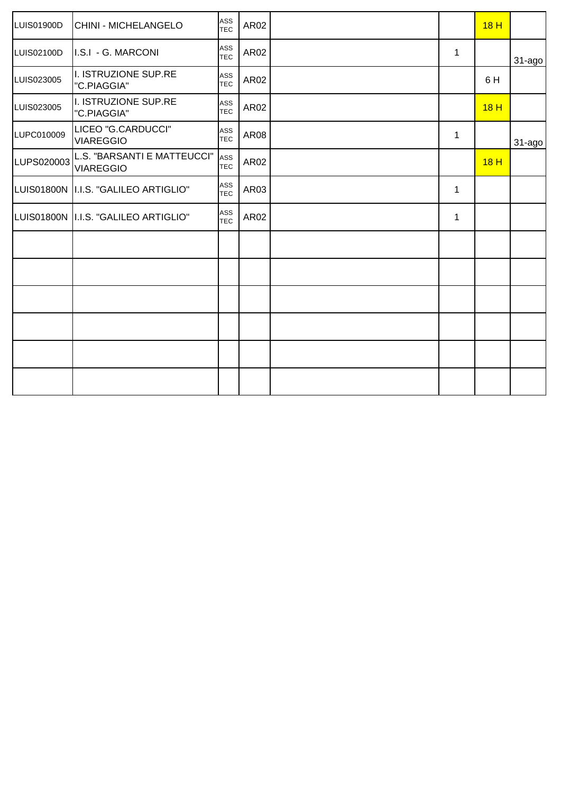| LUIS01900D | <b>CHINI - MICHELANGELO</b>                     | ASS<br><b>TEC</b> | AR02        |   | 18H |        |
|------------|-------------------------------------------------|-------------------|-------------|---|-----|--------|
| LUIS02100D | I.S.I - G. MARCONI                              | ASS<br><b>TEC</b> | AR02        | 1 |     | 31-ago |
| LUIS023005 | I. ISTRUZIONE SUP.RE<br>"C.PIAGGIA"             | ASS<br><b>TEC</b> | AR02        |   | 6H  |        |
| LUIS023005 | I. ISTRUZIONE SUP.RE<br>"C.PIAGGIA"             | ASS<br><b>TEC</b> | AR02        |   | 18H |        |
| LUPC010009 | LICEO "G.CARDUCCI"<br><b>VIAREGGIO</b>          | ASS<br><b>TEC</b> | <b>AR08</b> | 1 |     | 31-ago |
| LUPS020003 | L.S. "BARSANTI E MATTEUCCI"<br><b>VIAREGGIO</b> | ASS<br><b>TEC</b> | AR02        |   | 18H |        |
|            | LUIS01800N   I.I.S. "GALILEO ARTIGLIO"          | ASS<br><b>TEC</b> | AR03        | 1 |     |        |
|            | LUIS01800N   I.I.S. "GALILEO ARTIGLIO"          | ASS<br><b>TEC</b> | AR02        | 1 |     |        |
|            |                                                 |                   |             |   |     |        |
|            |                                                 |                   |             |   |     |        |
|            |                                                 |                   |             |   |     |        |
|            |                                                 |                   |             |   |     |        |
|            |                                                 |                   |             |   |     |        |
|            |                                                 |                   |             |   |     |        |